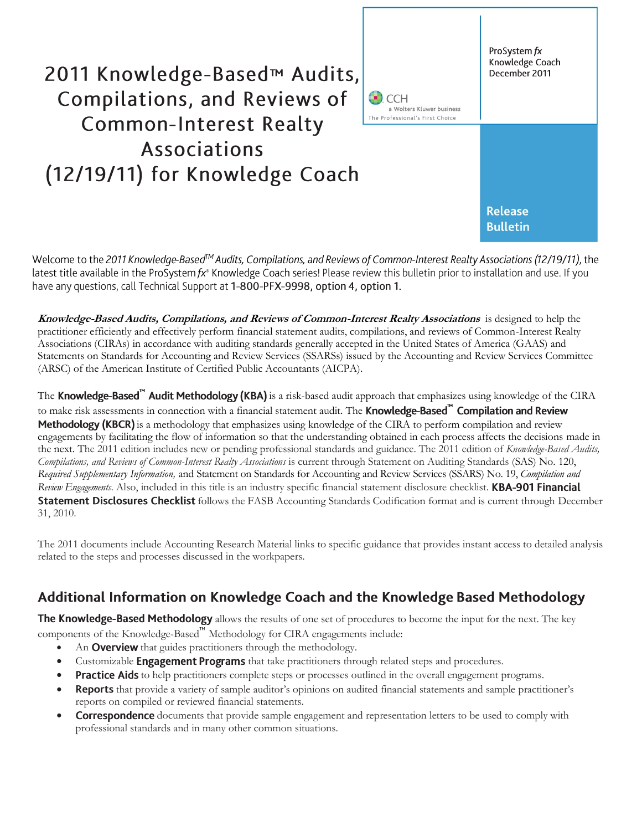

Welcome to the 2011 Knowledge-Based™ Audits, Compilations, and Reviews of Common-Interest Realty Associations (12/19/11), the latest title available in the ProSystem  $f x^*$  Knowledge Coach series! Please review this bulletin prior to installation and use. If you have any questions, call Technical Support at 1-800-PFX-9998, option 4, option 1.

**Knowledge-Based Audits, Compilations, and Reviews of Common-Interest Realty Associations** is designed to help the practitioner efficiently and effectively perform financial statement audits, compilations, and reviews of Common-Interest Realty Associations (CIRAs) in accordance with auditing standards generally accepted in the United States of America (GAAS) and Statements on Standards for Accounting and Review Services (SSARSs) issued by the Accounting and Review Services Committee (ARSC) of the American Institute of Certified Public Accountants (AICPA).

The Knowledge-Based<sup>"</sup> Audit Methodology (KBA) is a risk-based audit approach that emphasizes using knowledge of the CIRA to make risk assessments in connection with a financial statement audit. The **Knowledge-Based**<sup>m</sup> Compilation and Review **Methodology (KBCR)** is a methodology that emphasizes using knowledge of the CIRA to perform compilation and review engagements by facilitating the flow of information so that the understanding obtained in each process affects the decisions made in the next. The 2011 edition includes new or pending professional standards and guidance. The 2011 edition of *Knowledge-Based Audits, Compilations, and Reviews of Common-Interest Realty Associations* is current through Statement on Auditing Standards (SAS) No. 120, *Required Supplementary Information,* and Statement on Standards for Accounting and Review Services (SSARS) No. 19, *Compilation and Review Engagements*. Also, included in this title is an industry specific financial statement disclosure checklist. **KBA-901 Financial** Statement Disclosures Checklist follows the FASB Accounting Standards Codification format and is current through December 31, 2010.

The 2011 documents include Accounting Research Material links to specific guidance that provides instant access to detailed analysis related to the steps and processes discussed in the workpapers.

# Additional Information on Knowledge Coach and the Knowledge Based Methodology

The Knowledge-Based Methodology allows the results of one set of procedures to become the input for the next. The key components of the Knowledge-Based<sup>"</sup> Methodology for CIRA engagements include:

- An **Overview** that guides practitioners through the methodology.
- Customizable **Engagement Programs** that take practitioners through related steps and procedures.
- **Practice Aids** to help practitioners complete steps or processes outlined in the overall engagement programs.
- **Reports** that provide a variety of sample auditor's opinions on audited financial statements and sample practitioner's reports on compiled or reviewed financial statements.
- **Correspondence** documents that provide sample engagement and representation letters to be used to comply with professional standards and in many other common situations.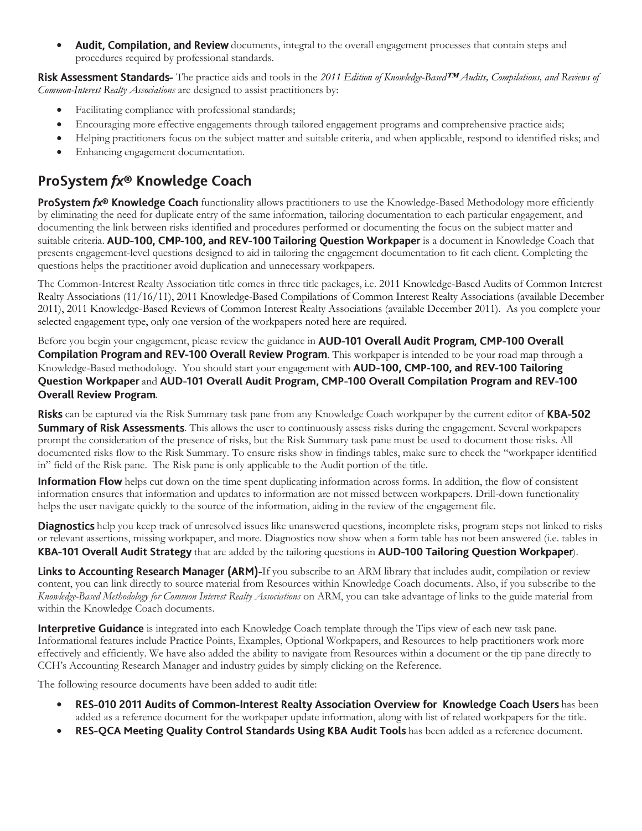Audit, Compilation, and Review documents, integral to the overall engagement processes that contain steps and procedures required by professional standards.

Risk Assessment Standards- The practice aids and tools in the 2011 Edition of Knowledge-Based™ Audits, Compilations, and Reviews of *Common-Interest Realty Associations* are designed to assist practitioners by:

- Facilitating compliance with professional standards;
- Encouraging more effective engagements through tailored engagement programs and comprehensive practice aids;
- Helping practitioners focus on the subject matter and suitable criteria, and when applicable, respond to identified risks; and
- Enhancing engagement documentation.

# ProSystem fx® Knowledge Coach

ProSystem fx® Knowledge Coach functionality allows practitioners to use the Knowledge-Based Methodology more efficiently by eliminating the need for duplicate entry of the same information, tailoring documentation to each particular engagement, and documenting the link between risks identified and procedures performed or documenting the focus on the subject matter and suitable criteria. AUD-100, CMP-100, and REV-100 Tailoring Question Workpaper is a document in Knowledge Coach that presents engagement-level questions designed to aid in tailoring the engagement documentation to fit each client. Completing the questions helps the practitioner avoid duplication and unnecessary workpapers.

The Common-Interest Realty Association title comes in three title packages, i.e. 2011 Knowledge-Based Audits of Common Interest Realty Associations (11/16/11), 2011 Knowledge-Based Compilations of Common Interest Realty Associations (available December 2011), 2011 Knowledge-Based Reviews of Common Interest Realty Associations (available December 2011). As you complete your selected engagement type, only one version of the workpapers noted here are required.

Before you begin your engagement, please review the guidance in AUD-101 Overall Audit Program, CMP-100 Overall **Compilation Program and REV-100 Overall Review Program**. This workpaper is intended to be your road map through a Knowledge-Based methodology. You should start your engagement with **AUD-100, CMP-100, and REV-100 Tailoring** Question Workpaper and AUD-101 Overall Audit Program, CMP-100 Overall Compilation Program and REV-100 **Overall Review Program.** 

**Risks** can be captured via the Risk Summary task pane from any Knowledge Coach workpaper by the current editor of **KBA-502 Summary of Risk Assessments**. This allows the user to continuously assess risks during the engagement. Several workpapers prompt the consideration of the presence of risks, but the Risk Summary task pane must be used to document those risks. All documented risks flow to the Risk Summary. To ensure risks show in findings tables, make sure to check the "workpaper identified in" field of the Risk pane. The Risk pane is only applicable to the Audit portion of the title.

**Information Flow** helps cut down on the time spent duplicating information across forms. In addition, the flow of consistent information ensures that information and updates to information are not missed between workpapers. Drill-down functionality helps the user navigate quickly to the source of the information, aiding in the review of the engagement file.

**Diagnostics** help you keep track of unresolved issues like unanswered questions, incomplete risks, program steps not linked to risks or relevant assertions, missing workpaper, and more. Diagnostics now show when a form table has not been answered (i.e. tables in KBA-101 Overall Audit Strategy that are added by the tailoring questions in AUD-100 Tailoring Question Workpaper).

Links to Accounting Research Manager (ARM)-If you subscribe to an ARM library that includes audit, compilation or review content, you can link directly to source material from Resources within Knowledge Coach documents. Also, if you subscribe to the *Knowledge-Based Methodology for Common Interest Realty Associations* on ARM, you can take advantage of links to the guide material from within the Knowledge Coach documents.

**Interpretive Guidance** is integrated into each Knowledge Coach template through the Tips view of each new task pane. Informational features include Practice Points, Examples, Optional Workpapers, and Resources to help practitioners work more effectively and efficiently. We have also added the ability to navigate from Resources within a document or the tip pane directly to CCH's Accounting Research Manager and industry guides by simply clicking on the Reference.

The following resource documents have been added to audit title:

- RES-010 2011 Audits of Common-Interest Realty Association Overview for Knowledge Coach Users has been added as a reference document for the workpaper update information, along with list of related workpapers for the title.
- RES-QCA Meeting Quality Control Standards Using KBA Audit Tools has been added as a reference document.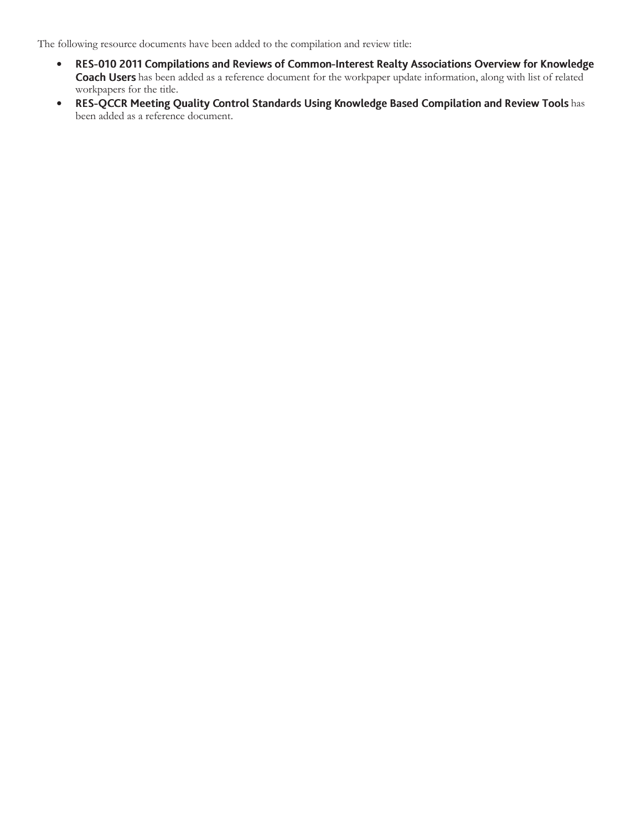The following resource documents have been added to the compilation and review title:

- RES-010 2011 Compilations and Reviews of Common-Interest Realty Associations Overview for Knowledge  $\bullet$ Coach Users has been added as a reference document for the workpaper update information, along with list of related workpapers for the title.
- RES-QCCR Meeting Quality Control Standards Using Knowledge Based Compilation and Review Tools has been added as a reference document.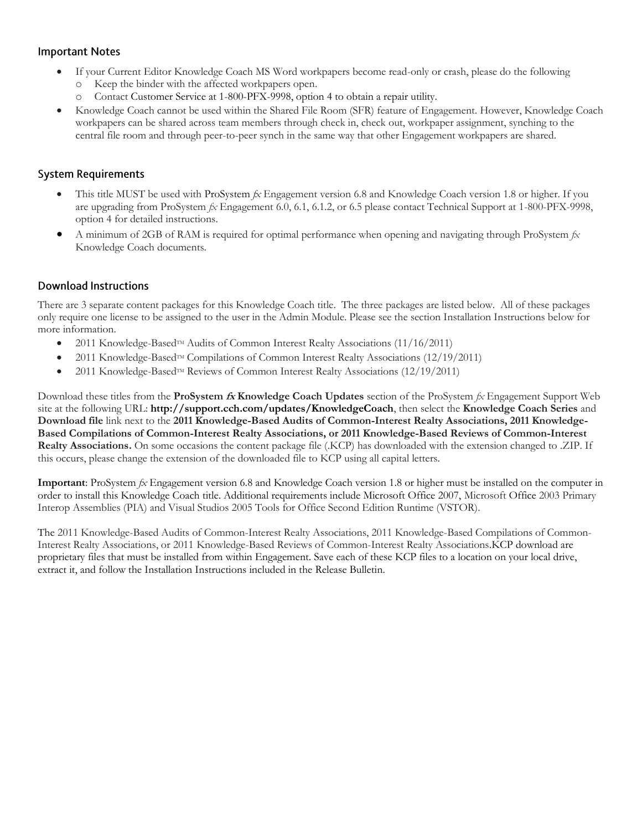#### **Important Notes**

- If your Current Editor Knowledge Coach MS Word workpapers become read-only or crash, please do the following
	- o Keep the binder with the affected workpapers open.
	- o Contact Customer Service at 1-800-PFX-9998, option 4 to obtain a repair utility.
- Knowledge Coach cannot be used within the Shared File Room (SFR) feature of Engagement. However, Knowledge Coach workpapers can be shared across team members through check in, check out, workpaper assignment, synching to the central file room and through peer-to-peer synch in the same way that other Engagement workpapers are shared.

### **System Requirements**

- This title MUST be used with ProSystem *fx* Engagement version 6.8 and Knowledge Coach version 1.8 or higher. If you are upgrading from ProSystem *fx* Engagement 6.0, 6.1, 6.1.2, or 6.5 please contact Technical Support at 1-800-PFX-9998, option 4 for detailed instructions.
- A minimum of 2GB of RAM is required for optimal performance when opening and navigating through ProSystem *fx*  Knowledge Coach documents.

## **Download Instructions**

There are 3 separate content packages for this Knowledge Coach title. The three packages are listed below. All of these packages only require one license to be assigned to the user in the Admin Module. Please see the section Installation Instructions below for more information.

- 2011 Knowledge-BasedTM Audits of Common Interest Realty Associations (11/16/2011)
- 2011 Knowledge-Based<sup>TM</sup> Compilations of Common Interest Realty Associations (12/19/2011)
- 2011 Knowledge-Based<sup>TM</sup> Reviews of Common Interest Realty Associations  $(12/19/2011)$

Download these titles from the **ProSystem fx Knowledge Coach Updates** section of the ProSystem *fx* Engagement Support Web site at the following URL: **http://support.cch.com/updates/KnowledgeCoach**, then select the **Knowledge Coach Series** and **Download file** link next to the **2011 Knowledge-Based Audits of Common-Interest Realty Associations, 2011 Knowledge-Based Compilations of Common-Interest Realty Associations, or 2011 Knowledge-Based Reviews of Common-Interest Realty Associations.** On some occasions the content package file (.KCP) has downloaded with the extension changed to .ZIP. If this occurs, please change the extension of the downloaded file to KCP using all capital letters.

**Important**: ProSystem *fx* Engagement version 6.8 and Knowledge Coach version 1.8 or higher must be installed on the computer in order to install this Knowledge Coach title. Additional requirements include Microsoft Office 2007, Microsoft Office 2003 Primary Interop Assemblies (PIA) and Visual Studios 2005 Tools for Office Second Edition Runtime (VSTOR).

The 2011 Knowledge-Based Audits of Common-Interest Realty Associations, 2011 Knowledge-Based Compilations of Common-Interest Realty Associations, or 2011 Knowledge-Based Reviews of Common-Interest Realty Associations.KCP download are proprietary files that must be installed from within Engagement. Save each of these KCP files to a location on your local drive, extract it, and follow the Installation Instructions included in the Release Bulletin.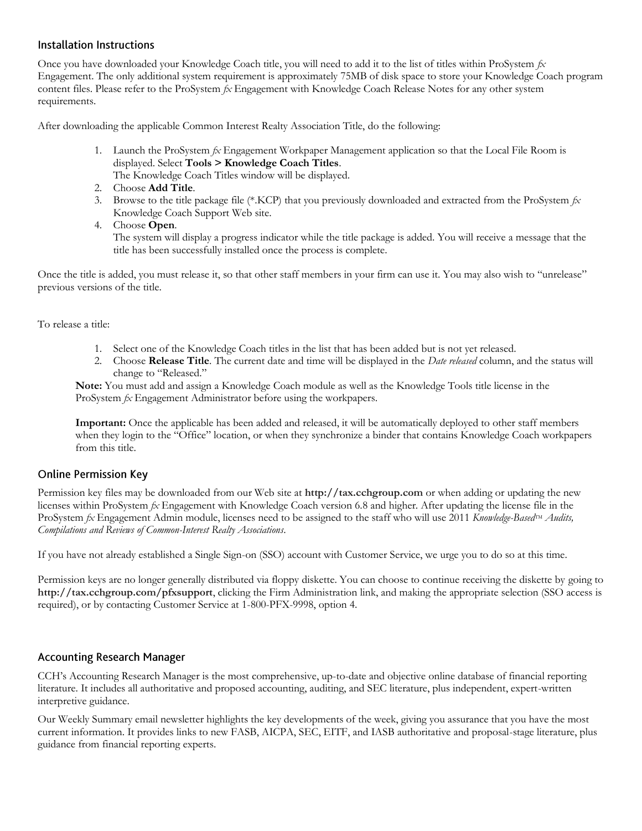#### Installation Instructions

Once you have downloaded your Knowledge Coach title, you will need to add it to the list of titles within ProSystem *fx* Engagement. The only additional system requirement is approximately 75MB of disk space to store your Knowledge Coach program content files. Please refer to the ProSystem *fx* Engagement with Knowledge Coach Release Notes for any other system requirements.

After downloading the applicable Common Interest Realty Association Title, do the following:

- 1. Launch the ProSystem *fx* Engagement Workpaper Management application so that the Local File Room is displayed. Select **Tools > Knowledge Coach Titles**. The Knowledge Coach Titles window will be displayed.
- 2. Choose **Add Title**.
- 3. Browse to the title package file (\*.KCP) that you previously downloaded and extracted from the ProSystem *fx* Knowledge Coach Support Web site.
- 4. Choose **Open**.

The system will display a progress indicator while the title package is added. You will receive a message that the title has been successfully installed once the process is complete.

Once the title is added, you must release it, so that other staff members in your firm can use it. You may also wish to "unrelease" previous versions of the title.

To release a title:

- 1. Select one of the Knowledge Coach titles in the list that has been added but is not yet released.
- 2. Choose **Release Title**. The current date and time will be displayed in the *Date released* column, and the status will change to "Released."

**Note:** You must add and assign a Knowledge Coach module as well as the Knowledge Tools title license in the ProSystem *fx* Engagement Administrator before using the workpapers.

**Important:** Once the applicable has been added and released, it will be automatically deployed to other staff members when they login to the "Office" location, or when they synchronize a binder that contains Knowledge Coach workpapers from this title.

### **Online Permission Key**

Permission key files may be downloaded from our Web site at **http://tax.cchgroup.com** or when adding or updating the new licenses within ProSystem *fx* Engagement with Knowledge Coach version 6.8 and higher. After updating the license file in the ProSystem *fx* Engagement Admin module, licenses need to be assigned to the staff who will use 2011 *Knowledge-Based<sup>TM</sup> Audits*, *Compilations and Reviews of Common-Interest Realty Associations*.

If you have not already established a Single Sign-on (SSO) account with Customer Service, we urge you to do so at this time.

Permission keys are no longer generally distributed via floppy diskette. You can choose to continue receiving the diskette by going to **http://tax.cchgroup.com/pfxsupport**, clicking the Firm Administration link, and making the appropriate selection (SSO access is required), or by contacting Customer Service at 1-800-PFX-9998, option 4.

### **Accounting Research Manager**

CCH's Accounting Research Manager is the most comprehensive, up-to-date and objective online database of financial reporting literature. It includes all authoritative and proposed accounting, auditing, and SEC literature, plus independent, expert-written interpretive guidance.

Our Weekly Summary email newsletter highlights the key developments of the week, giving you assurance that you have the most current information. It provides links to new FASB, AICPA, SEC, EITF, and IASB authoritative and proposal-stage literature, plus guidance from financial reporting experts.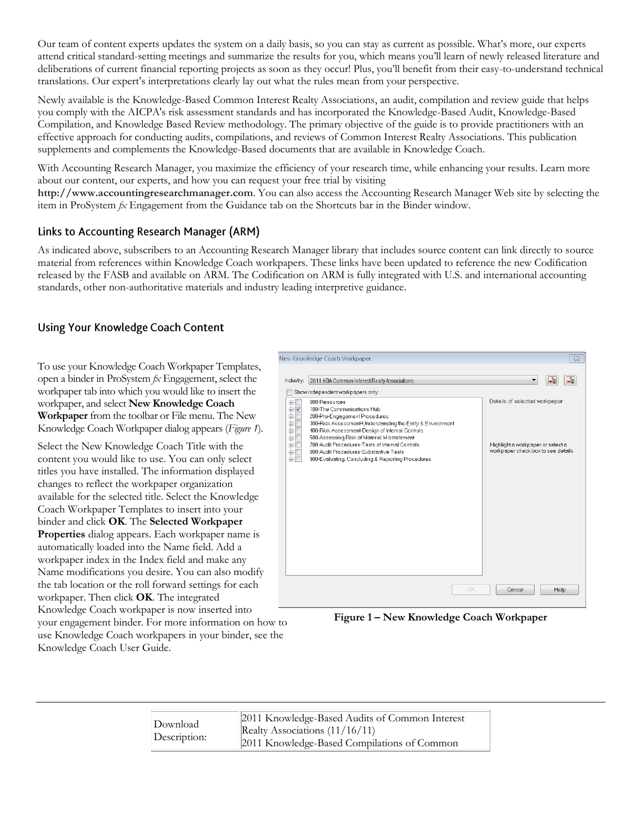Our team of content experts updates the system on a daily basis, so you can stay as current as possible. What's more, our experts attend critical standard-setting meetings and summarize the results for you, which means you'll learn of newly released literature and deliberations of current financial reporting projects as soon as they occur! Plus, you'll benefit from their easy-to-understand technical translations. Our expert's interpretations clearly lay out what the rules mean from your perspective.

Newly available is the Knowledge-Based Common Interest Realty Associations, an audit, compilation and review guide that helps you comply with the AICPA's risk assessment standards and has incorporated the Knowledge-Based Audit, Knowledge-Based Compilation, and Knowledge Based Review methodology. The primary objective of the guide is to provide practitioners with an effective approach for conducting audits, compilations, and reviews of Common Interest Realty Associations. This publication supplements and complements the Knowledge-Based documents that are available in Knowledge Coach.

With Accounting Research Manager, you maximize the efficiency of your research time, while enhancing your results. Learn more about our content, our experts, and how you can request your free trial by visiting

**http://www.accountingresearchmanager.com**. You can also access the Accounting Research Manager Web site by selecting the item in ProSystem *fx* Engagement from the Guidance tab on the Shortcuts bar in the Binder window.

### Links to Accounting Research Manager (ARM)

As indicated above, subscribers to an Accounting Research Manager library that includes source content can link directly to source material from references within Knowledge Coach workpapers. These links have been updated to reference the new Codification released by the FASB and available on ARM. The Codification on ARM is fully integrated with U.S. and international accounting standards, other non-authoritative materials and industry leading interpretive guidance.

## **Using Your Knowledge Coach Content**

To use your Knowledge Coach Workpaper Templates, open a binder in ProSystem *fx* Engagement, select the workpaper tab into which you would like to insert the workpaper, and select **New Knowledge Coach Workpaper** from the toolbar or File menu. The New Knowledge Coach Workpaper dialog appears (*Figure 1*).

Select the New Knowledge Coach Title with the content you would like to use. You can only select titles you have installed. The information displayed changes to reflect the workpaper organization available for the selected title. Select the Knowledge Coach Workpaper Templates to insert into your binder and click **OK**. The **Selected Workpaper Properties** dialog appears. Each workpaper name is automatically loaded into the Name field. Add a workpaper index in the Index field and make any Name modifications you desire. You can also modify the tab location or the roll forward settings for each workpaper. Then click **OK**. The integrated Knowledge Coach workpaper is now inserted into your engagement binder. For more information on how to use Knowledge Coach workpapers in your binder, see the Knowledge Coach User Guide.



**Figure 1 – New Knowledge Coach Workpaper**

| Download<br>Description: | 2011 Knowledge-Based Audits of Common Interest<br>Realty Associations $(11/16/11)$ |
|--------------------------|------------------------------------------------------------------------------------|
|                          | 2011 Knowledge-Based Compilations of Common                                        |